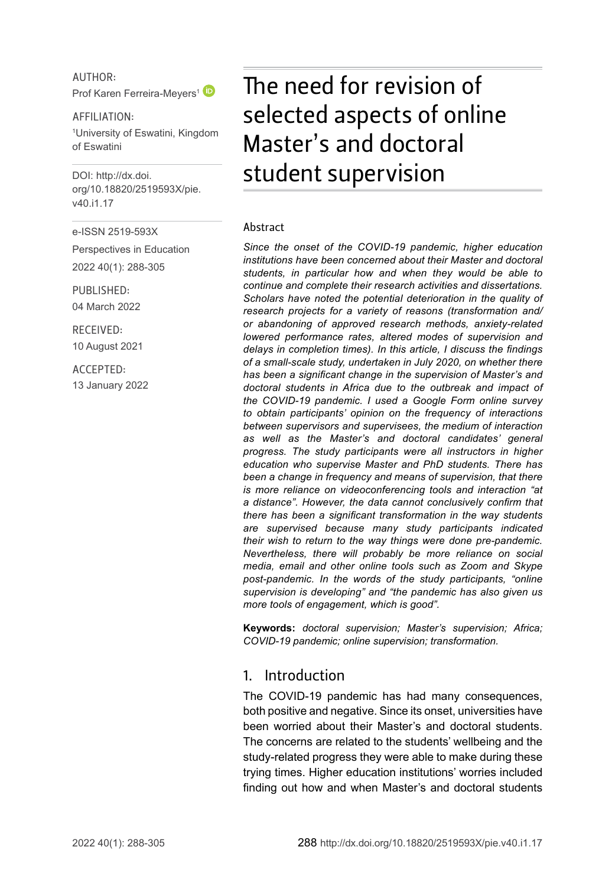AUTHOR: Prof Karen Ferreira-Mevers<sup>1</sup>

AFFILIATION: 1 University of Eswatini, Kingdom of Eswatini

DOI: [http://dx.doi.](http://dx.doi.org/10.18820/2519593X/pie.v40.i1.17) [org/10.18820/2519593X/p](http://dx.doi.org/10.18820/2519593X/pie.v40.i1.17)ie. v40.i1.17

e-ISSN 2519-593X

Perspectives in Education 2022 40(1): 288-305

PUBLISHED: 04 March 2022

RECEIVED: 10 August 2021

ACCEPTED: 13 January 2022

# The need for revision of selected aspects of online Master's and doctoral student supervision

#### Abstract

*Since the onset of the COVID-19 pandemic, higher education institutions have been concerned about their Master and doctoral students, in particular how and when they would be able to continue and complete their research activities and dissertations. Scholars have noted the potential deterioration in the quality of research projects for a variety of reasons (transformation and/ or abandoning of approved research methods, anxiety-related lowered performance rates, altered modes of supervision and delays in completion times). In this article, I discuss the findings of a small-scale study, undertaken in July 2020, on whether there has been a significant change in the supervision of Master's and doctoral students in Africa due to the outbreak and impact of the COVID-19 pandemic. I used a Google Form online survey to obtain participants' opinion on the frequency of interactions between supervisors and supervisees, the medium of interaction as well as the Master's and doctoral candidates' general progress. The study participants were all instructors in higher education who supervise Master and PhD students. There has been a change in frequency and means of supervision, that there is more reliance on videoconferencing tools and interaction "at a distance". However, the data cannot conclusively confirm that there has been a significant transformation in the way students are supervised because many study participants indicated their wish to return to the way things were done pre-pandemic. Nevertheless, there will probably be more reliance on social media, email and other online tools such as Zoom and Skype post-pandemic. In the words of the study participants, "online supervision is developing" and "the pandemic has also given us more tools of engagement, which is good".*

**Keywords:** *doctoral supervision; Master's supervision; Africa; COVID-19 pandemic; online supervision; transformation.*

#### 1. Introduction

The COVID-19 pandemic has had many consequences, both positive and negative. Since its onset, universities have been worried about their Master's and doctoral students. The concerns are related to the students' wellbeing and the study-related progress they were able to make during these trying times. Higher education institutions' worries included finding out how and when Master's and doctoral students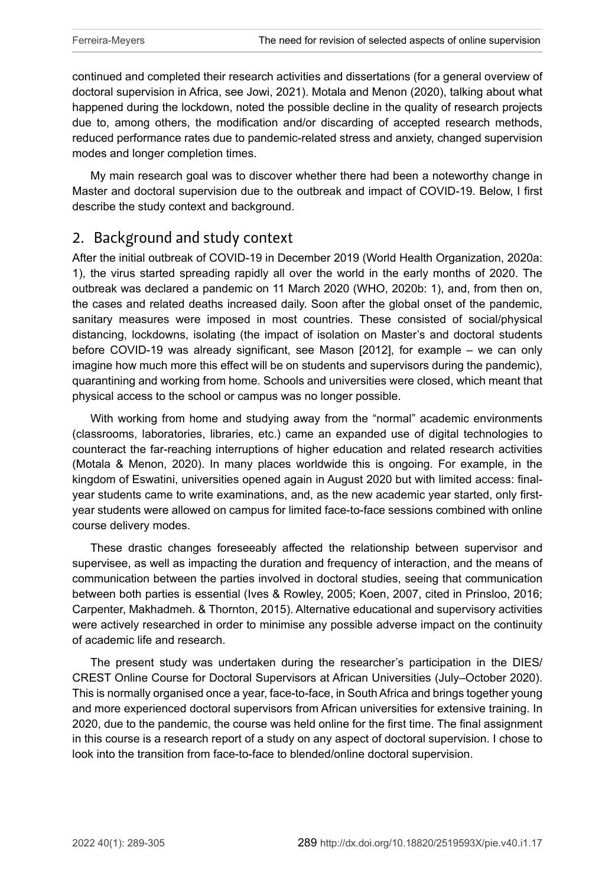continued and completed their research activities and dissertations (for a general overview of doctoral supervision in Africa, see Jowi, 2021). Motala and Menon (2020), talking about what happened during the lockdown, noted the possible decline in the quality of research projects due to, among others, the modification and/or discarding of accepted research methods, reduced performance rates due to pandemic-related stress and anxiety, changed supervision modes and longer completion times.

My main research goal was to discover whether there had been a noteworthy change in Master and doctoral supervision due to the outbreak and impact of COVID-19. Below, I first describe the study context and background.

## 2. Background and study context

After the initial outbreak of COVID-19 in December 2019 (World Health Organization, 2020a: 1), the virus started spreading rapidly all over the world in the early months of 2020. The outbreak was declared a pandemic on 11 March 2020 (WHO, 2020b: 1), and, from then on, the cases and related deaths increased daily. Soon after the global onset of the pandemic, sanitary measures were imposed in most countries. These consisted of social/physical distancing, lockdowns, isolating (the impact of isolation on Master's and doctoral students before COVID-19 was already significant, see Mason [2012], for example – we can only imagine how much more this effect will be on students and supervisors during the pandemic), quarantining and working from home. Schools and universities were closed, which meant that physical access to the school or campus was no longer possible.

With working from home and studying away from the "normal" academic environments (classrooms, laboratories, libraries, etc.) came an expanded use of digital technologies to counteract the far-reaching interruptions of higher education and related research activities (Motala & Menon, 2020). In many places worldwide this is ongoing. For example, in the kingdom of Eswatini, universities opened again in August 2020 but with limited access: finalyear students came to write examinations, and, as the new academic year started, only firstyear students were allowed on campus for limited face-to-face sessions combined with online course delivery modes.

These drastic changes foreseeably affected the relationship between supervisor and supervisee, as well as impacting the duration and frequency of interaction, and the means of communication between the parties involved in doctoral studies, seeing that communication between both parties is essential (Ives & Rowley, 2005; Koen, 2007, cited in Prinsloo, 2016; Carpenter, Makhadmeh. & Thornton, 2015). Alternative educational and supervisory activities were actively researched in order to minimise any possible adverse impact on the continuity of academic life and research.

The present study was undertaken during the researcher's participation in the DIES/ CREST Online Course for Doctoral Supervisors at African Universities (July–October 2020). This is normally organised once a year, face-to-face, in South Africa and brings together young and more experienced doctoral supervisors from African universities for extensive training. In 2020, due to the pandemic, the course was held online for the first time. The final assignment in this course is a research report of a study on any aspect of doctoral supervision. I chose to look into the transition from face-to-face to blended/online doctoral supervision.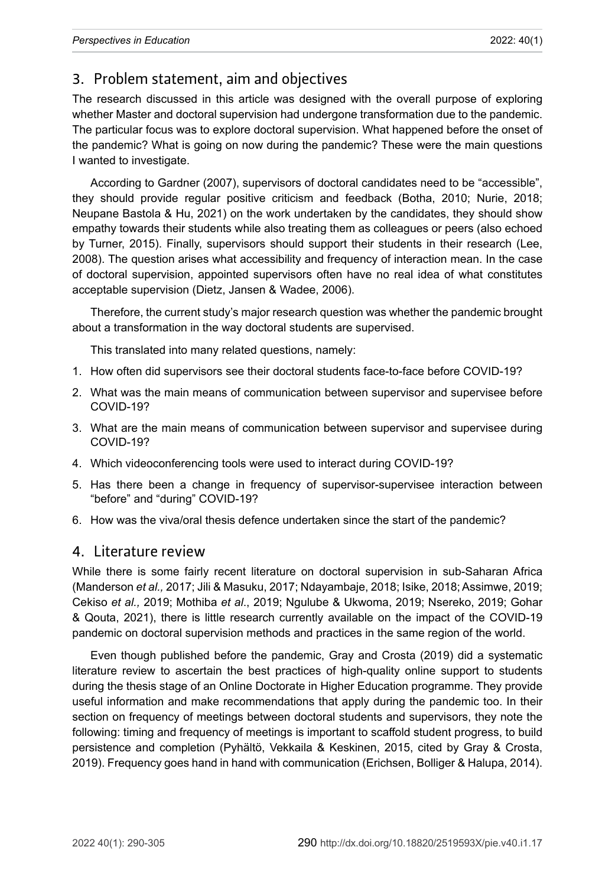# 3. Problem statement, aim and objectives

The research discussed in this article was designed with the overall purpose of exploring whether Master and doctoral supervision had undergone transformation due to the pandemic. The particular focus was to explore doctoral supervision. What happened before the onset of the pandemic? What is going on now during the pandemic? These were the main questions I wanted to investigate.

According to Gardner (2007), supervisors of doctoral candidates need to be "accessible", they should provide regular positive criticism and feedback (Botha, 2010; Nurie, 2018; Neupane Bastola & Hu, 2021) on the work undertaken by the candidates, they should show empathy towards their students while also treating them as colleagues or peers (also echoed by Turner, 2015). Finally, supervisors should support their students in their research (Lee, 2008). The question arises what accessibility and frequency of interaction mean. In the case of doctoral supervision, appointed supervisors often have no real idea of what constitutes acceptable supervision (Dietz, Jansen & Wadee, 2006).

Therefore, the current study's major research question was whether the pandemic brought about a transformation in the way doctoral students are supervised.

This translated into many related questions, namely:

- 1. How often did supervisors see their doctoral students face-to-face before COVID-19?
- 2. What was the main means of communication between supervisor and supervisee before COVID-19?
- 3. What are the main means of communication between supervisor and supervisee during COVID-19?
- 4. Which videoconferencing tools were used to interact during COVID-19?
- 5. Has there been a change in frequency of supervisor-supervisee interaction between "before" and "during" COVID-19?
- 6. How was the viva/oral thesis defence undertaken since the start of the pandemic?

#### 4. Literature review

While there is some fairly recent literature on doctoral supervision in sub-Saharan Africa (Manderson *et al.,* 2017; Jili & Masuku, 2017; Ndayambaje, 2018; Isike, 2018; Assimwe, 2019; Cekiso *et al.,* 2019; Mothiba *et al*., 2019; Ngulube & Ukwoma, 2019; Nsereko, 2019; Gohar & Qouta, 2021), there is little research currently available on the impact of the COVID-19 pandemic on doctoral supervision methods and practices in the same region of the world.

Even though published before the pandemic, Gray and Crosta (2019) did a systematic literature review to ascertain the best practices of high-quality online support to students during the thesis stage of an Online Doctorate in Higher Education programme. They provide useful information and make recommendations that apply during the pandemic too. In their section on frequency of meetings between doctoral students and supervisors, they note the following: timing and frequency of meetings is important to scaffold student progress, to build persistence and completion (Pyhältö, Vekkaila & Keskinen, 2015, cited by Gray & Crosta, 2019). Frequency goes hand in hand with communication (Erichsen, Bolliger & Halupa, 2014).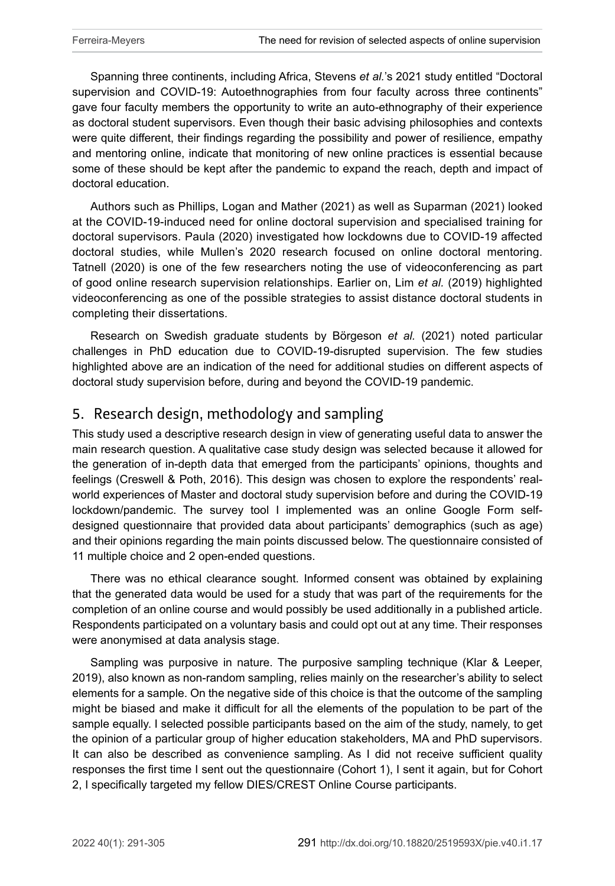Spanning three continents, including Africa, Stevens *et al.*'s 2021 study entitled "Doctoral supervision and COVID-19: Autoethnographies from four faculty across three continents" gave four faculty members the opportunity to write an auto-ethnography of their experience as doctoral student supervisors. Even though their basic advising philosophies and contexts were quite different, their findings regarding the possibility and power of resilience, empathy and mentoring online, indicate that monitoring of new online practices is essential because some of these should be kept after the pandemic to expand the reach, depth and impact of doctoral education.

Authors such as Phillips, Logan and Mather (2021) as well as Suparman (2021) looked at the COVID-19-induced need for online doctoral supervision and specialised training for doctoral supervisors. Paula (2020) investigated how lockdowns due to COVID-19 affected doctoral studies, while Mullen's 2020 research focused on online doctoral mentoring. Tatnell (2020) is one of the few researchers noting the use of videoconferencing as part of good online research supervision relationships. Earlier on, Lim *et al.* (2019) highlighted videoconferencing as one of the possible strategies to assist distance doctoral students in completing their dissertations.

Research on Swedish graduate students by Börgeson *et al.* (2021) noted particular challenges in PhD education due to COVID-19-disrupted supervision. The few studies highlighted above are an indication of the need for additional studies on different aspects of doctoral study supervision before, during and beyond the COVID-19 pandemic.

## 5. Research design, methodology and sampling

This study used a descriptive research design in view of generating useful data to answer the main research question. A qualitative case study design was selected because it allowed for the generation of in-depth data that emerged from the participants' opinions, thoughts and feelings (Creswell & Poth, 2016). This design was chosen to explore the respondents' realworld experiences of Master and doctoral study supervision before and during the COVID-19 lockdown/pandemic. The survey tool I implemented was an online Google Form selfdesigned questionnaire that provided data about participants' demographics (such as age) and their opinions regarding the main points discussed below. The questionnaire consisted of 11 multiple choice and 2 open-ended questions.

There was no ethical clearance sought. Informed consent was obtained by explaining that the generated data would be used for a study that was part of the requirements for the completion of an online course and would possibly be used additionally in a published article. Respondents participated on a voluntary basis and could opt out at any time. Their responses were anonymised at data analysis stage.

Sampling was purposive in nature. The purposive sampling technique (Klar & Leeper, 2019), also known as non-random sampling, relies mainly on the researcher's ability to select elements for a sample. On the negative side of this choice is that the outcome of the sampling might be biased and make it difficult for all the elements of the population to be part of the sample equally. I selected possible participants based on the aim of the study, namely, to get the opinion of a particular group of higher education stakeholders, MA and PhD supervisors. It can also be described as convenience sampling. As I did not receive sufficient quality responses the first time I sent out the questionnaire (Cohort 1), I sent it again, but for Cohort 2, I specifically targeted my fellow DIES/CREST Online Course participants.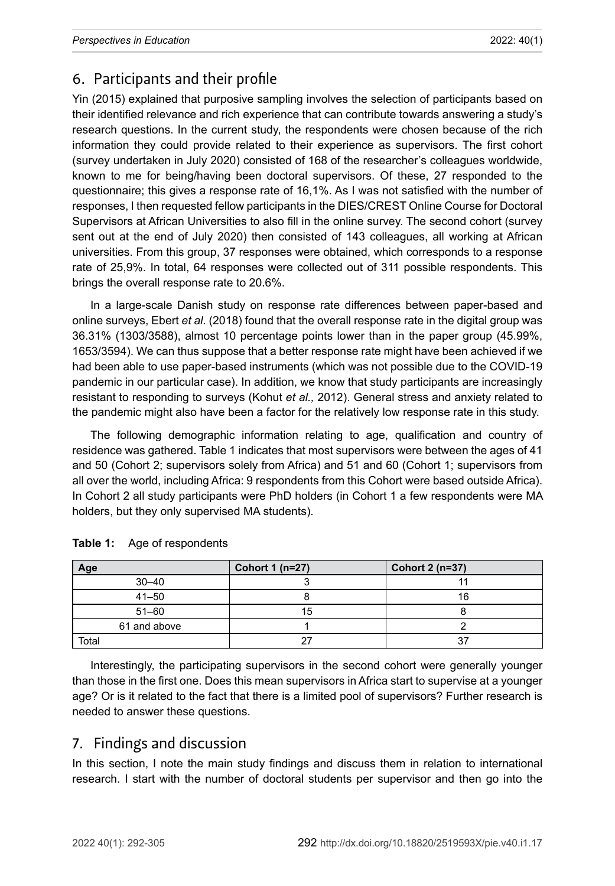## 6. Participants and their profile

Yin (2015) explained that purposive sampling involves the selection of participants based on their identified relevance and rich experience that can contribute towards answering a study's research questions. In the current study, the respondents were chosen because of the rich information they could provide related to their experience as supervisors. The first cohort (survey undertaken in July 2020) consisted of 168 of the researcher's colleagues worldwide, known to me for being/having been doctoral supervisors. Of these, 27 responded to the questionnaire; this gives a response rate of 16,1%. As I was not satisfied with the number of responses, I then requested fellow participants in the DIES/CREST Online Course for Doctoral Supervisors at African Universities to also fill in the online survey. The second cohort (survey sent out at the end of July 2020) then consisted of 143 colleagues, all working at African universities. From this group, 37 responses were obtained, which corresponds to a response rate of 25,9%. In total, 64 responses were collected out of 311 possible respondents. This brings the overall response rate to 20.6%.

In a large-scale Danish study on response rate differences between paper-based and online surveys, Ebert *et al.* (2018) found that the overall response rate in the digital group was 36.31% (1303/3588), almost 10 percentage points lower than in the paper group (45.99%, 1653/3594). We can thus suppose that a better response rate might have been achieved if we had been able to use paper-based instruments (which was not possible due to the COVID-19 pandemic in our particular case). In addition, we know that study participants are increasingly resistant to responding to surveys (Kohut *et al.,* 2012). General stress and anxiety related to the pandemic might also have been a factor for the relatively low response rate in this study.

The following demographic information relating to age, qualification and country of residence was gathered. Table 1 indicates that most supervisors were between the ages of 41 and 50 (Cohort 2; supervisors solely from Africa) and 51 and 60 (Cohort 1; supervisors from all over the world, including Africa: 9 respondents from this Cohort were based outside Africa). In Cohort 2 all study participants were PhD holders (in Cohort 1 a few respondents were MA holders, but they only supervised MA students).

| Age          | Cohort 1 (n=27) | Cohort 2 (n=37) |
|--------------|-----------------|-----------------|
| $30 - 40$    |                 |                 |
| $41 - 50$    |                 | 16              |
| $51 - 60$    | 15              |                 |
| 61 and above |                 |                 |
| Total        |                 |                 |

#### **Table 1:** Age of respondents

Interestingly, the participating supervisors in the second cohort were generally younger than those in the first one. Does this mean supervisors in Africa start to supervise at a younger age? Or is it related to the fact that there is a limited pool of supervisors? Further research is needed to answer these questions.

#### 7. Findings and discussion

In this section, I note the main study findings and discuss them in relation to international research. I start with the number of doctoral students per supervisor and then go into the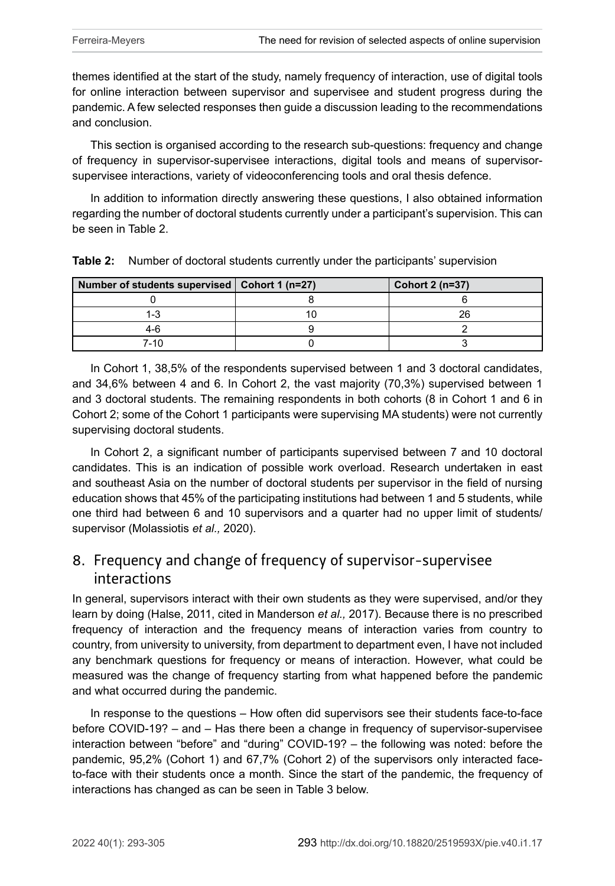themes identified at the start of the study, namely frequency of interaction, use of digital tools for online interaction between supervisor and supervisee and student progress during the pandemic. A few selected responses then guide a discussion leading to the recommendations and conclusion.

This section is organised according to the research sub-questions: frequency and change of frequency in supervisor-supervisee interactions, digital tools and means of supervisorsupervisee interactions, variety of videoconferencing tools and oral thesis defence.

In addition to information directly answering these questions, I also obtained information regarding the number of doctoral students currently under a participant's supervision. This can be seen in Table 2.

| Number of students supervised   Cohort 1 (n=27) | Cohort $2(n=37)$ |
|-------------------------------------------------|------------------|
|                                                 |                  |
| 1-3                                             | 26               |
| 4-6                                             |                  |
| 7-10                                            |                  |

**Table 2:** Number of doctoral students currently under the participants' supervision

In Cohort 1, 38,5% of the respondents supervised between 1 and 3 doctoral candidates, and 34,6% between 4 and 6. In Cohort 2, the vast majority (70,3%) supervised between 1 and 3 doctoral students. The remaining respondents in both cohorts (8 in Cohort 1 and 6 in Cohort 2; some of the Cohort 1 participants were supervising MA students) were not currently supervising doctoral students.

In Cohort 2, a significant number of participants supervised between 7 and 10 doctoral candidates. This is an indication of possible work overload. Research undertaken in east and southeast Asia on the number of doctoral students per supervisor in the field of nursing education shows that 45% of the participating institutions had between 1 and 5 students, while one third had between 6 and 10 supervisors and a quarter had no upper limit of students/ supervisor (Molassiotis *et al.,* 2020).

#### 8. Frequency and change of frequency of supervisor-supervisee interactions

In general, supervisors interact with their own students as they were supervised, and/or they learn by doing (Halse, 2011, cited in Manderson *et al.,* 2017). Because there is no prescribed frequency of interaction and the frequency means of interaction varies from country to country, from university to university, from department to department even, I have not included any benchmark questions for frequency or means of interaction. However, what could be measured was the change of frequency starting from what happened before the pandemic and what occurred during the pandemic.

In response to the questions – How often did supervisors see their students face-to-face before COVID-19? – and – Has there been a change in frequency of supervisor-supervisee interaction between "before" and "during" COVID-19? – the following was noted: before the pandemic, 95,2% (Cohort 1) and 67,7% (Cohort 2) of the supervisors only interacted faceto-face with their students once a month. Since the start of the pandemic, the frequency of interactions has changed as can be seen in Table 3 below.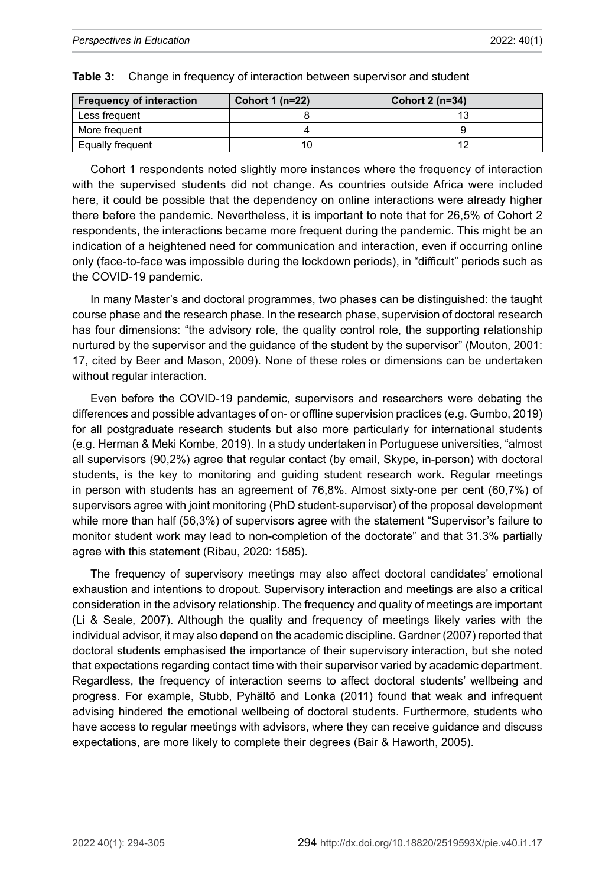| <b>Frequency of interaction</b> | Cohort 1 $(n=22)$ | Cohort 2 (n=34) |
|---------------------------------|-------------------|-----------------|
| Less frequent                   |                   |                 |
| More frequent                   |                   |                 |
| Equally frequent                |                   |                 |

|  |  |  | Table 3: Change in frequency of interaction between supervisor and student |
|--|--|--|----------------------------------------------------------------------------|
|--|--|--|----------------------------------------------------------------------------|

Cohort 1 respondents noted slightly more instances where the frequency of interaction with the supervised students did not change. As countries outside Africa were included here, it could be possible that the dependency on online interactions were already higher there before the pandemic. Nevertheless, it is important to note that for 26,5% of Cohort 2 respondents, the interactions became more frequent during the pandemic. This might be an indication of a heightened need for communication and interaction, even if occurring online only (face-to-face was impossible during the lockdown periods), in "difficult" periods such as the COVID-19 pandemic.

In many Master's and doctoral programmes, two phases can be distinguished: the taught course phase and the research phase. In the research phase, supervision of doctoral research has four dimensions: "the advisory role, the quality control role, the supporting relationship nurtured by the supervisor and the guidance of the student by the supervisor" (Mouton, 2001: 17, cited by Beer and Mason, 2009). None of these roles or dimensions can be undertaken without regular interaction.

Even before the COVID-19 pandemic, supervisors and researchers were debating the differences and possible advantages of on- or offline supervision practices (e.g. Gumbo, 2019) for all postgraduate research students but also more particularly for international students (e.g. Herman & Meki Kombe, 2019). In a study undertaken in Portuguese universities, "almost all supervisors (90,2%) agree that regular contact (by email, Skype, in-person) with doctoral students, is the key to monitoring and guiding student research work. Regular meetings in person with students has an agreement of 76,8%. Almost sixty-one per cent (60,7%) of supervisors agree with joint monitoring (PhD student-supervisor) of the proposal development while more than half (56,3%) of supervisors agree with the statement "Supervisor's failure to monitor student work may lead to non-completion of the doctorate" and that 31.3% partially agree with this statement (Ribau, 2020: 1585).

The frequency of supervisory meetings may also affect doctoral candidates' emotional exhaustion and intentions to dropout. Supervisory interaction and meetings are also a critical consideration in the advisory relationship. The frequency and quality of meetings are important (Li & Seale, 2007). Although the quality and frequency of meetings likely varies with the individual advisor, it may also depend on the academic discipline. Gardner (2007) reported that doctoral students emphasised the importance of their supervisory interaction, but she noted that expectations regarding contact time with their supervisor varied by academic department. Regardless, the frequency of interaction seems to affect doctoral students' wellbeing and progress. For example, Stubb, Pyhältö and Lonka (2011) found that weak and infrequent advising hindered the emotional wellbeing of doctoral students. Furthermore, students who have access to regular meetings with advisors, where they can receive guidance and discuss expectations, are more likely to complete their degrees (Bair & Haworth, 2005).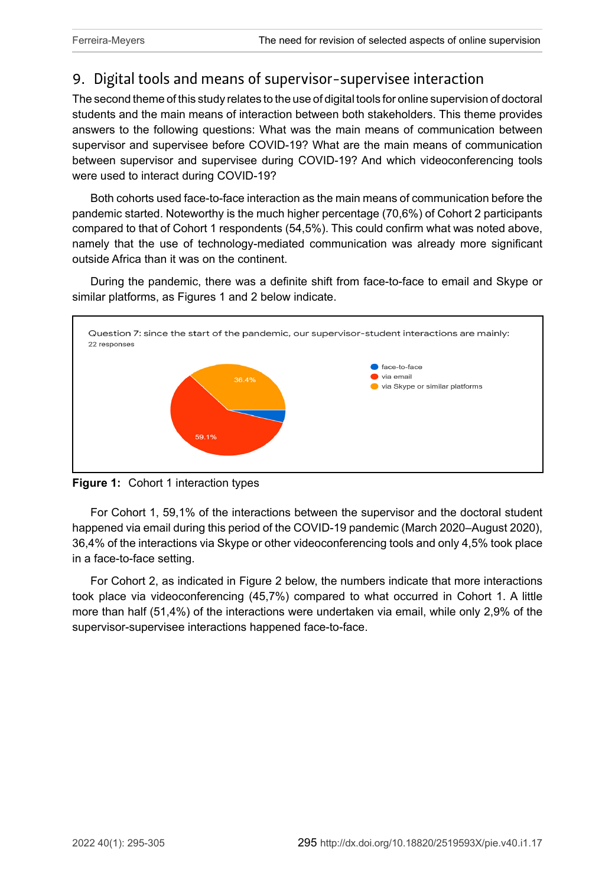# 9. Digital tools and means of supervisor-supervisee interaction

The second theme of this study relates to the use of digital tools for online supervision of doctoral students and the main means of interaction between both stakeholders. This theme provides answers to the following questions: What was the main means of communication between supervisor and supervisee before COVID-19? What are the main means of communication between supervisor and supervisee during COVID-19? And which videoconferencing tools were used to interact during COVID-19?

Both cohorts used face-to-face interaction as the main means of communication before the pandemic started. Noteworthy is the much higher percentage (70,6%) of Cohort 2 participants compared to that of Cohort 1 respondents (54,5%). This could confirm what was noted above, namely that the use of technology-mediated communication was already more significant outside Africa than it was on the continent.

During the pandemic, there was a definite shift from face-to-face to email and Skype or similar platforms, as Figures 1 and 2 below indicate.





For Cohort 1, 59,1% of the interactions between the supervisor and the doctoral student happened via email during this period of the COVID-19 pandemic (March 2020–August 2020), 36,4% of the interactions via Skype or other videoconferencing tools and only 4,5% took place in a face-to-face setting.

For Cohort 2, as indicated in Figure 2 below, the numbers indicate that more interactions took place via videoconferencing (45,7%) compared to what occurred in Cohort 1. A little more than half (51,4%) of the interactions were undertaken via email, while only 2,9% of the supervisor-supervisee interactions happened face-to-face.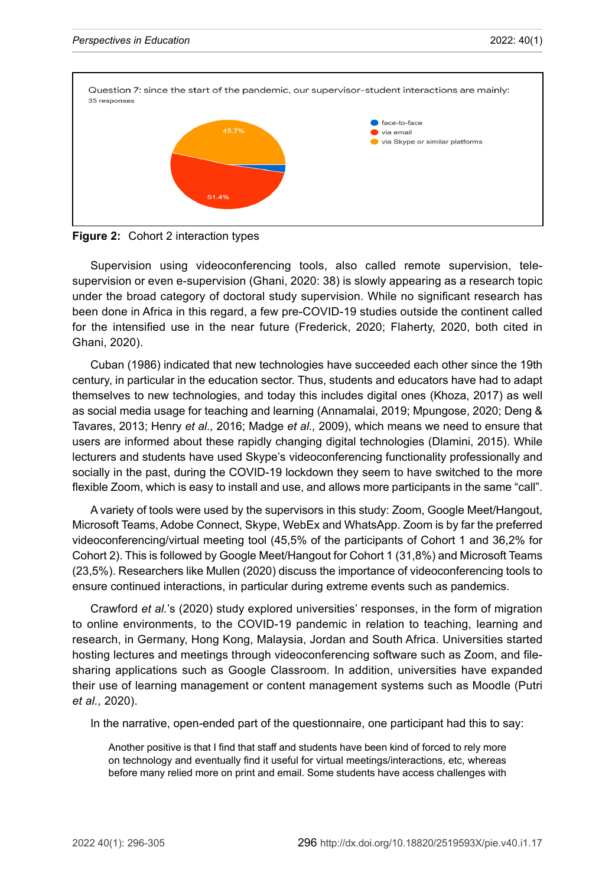

**Figure 2:** Cohort 2 interaction types

Supervision using videoconferencing tools, also called remote supervision, telesupervision or even e-supervision (Ghani, 2020: 38) is slowly appearing as a research topic under the broad category of doctoral study supervision. While no significant research has been done in Africa in this regard, a few pre-COVID-19 studies outside the continent called for the intensified use in the near future (Frederick, 2020; Flaherty, 2020, both cited in Ghani, 2020).

Cuban (1986) indicated that new technologies have succeeded each other since the 19th century, in particular in the education sector. Thus, students and educators have had to adapt themselves to new technologies, and today this includes digital ones (Khoza, 2017) as well as social media usage for teaching and learning (Annamalai, 2019; Mpungose, 2020; Deng & Tavares, 2013; Henry *et al.,* 2016; Madge *et al.,* 2009), which means we need to ensure that users are informed about these rapidly changing digital technologies (Dlamini, 2015). While lecturers and students have used Skype's videoconferencing functionality professionally and socially in the past, during the COVID-19 lockdown they seem to have switched to the more flexible Zoom, which is easy to install and use, and allows more participants in the same "call".

A variety of tools were used by the supervisors in this study: Zoom, Google Meet/Hangout, Microsoft Teams, Adobe Connect, Skype, WebEx and WhatsApp. Zoom is by far the preferred videoconferencing/virtual meeting tool (45,5% of the participants of Cohort 1 and 36,2% for Cohort 2). This is followed by Google Meet/Hangout for Cohort 1 (31,8%) and Microsoft Teams (23,5%). Researchers like Mullen (2020) discuss the importance of videoconferencing tools to ensure continued interactions, in particular during extreme events such as pandemics.

Crawford *et al.*'s (2020) study explored universities' responses, in the form of migration to online environments, to the COVID-19 pandemic in relation to teaching, learning and research, in Germany, Hong Kong, Malaysia, Jordan and South Africa. Universities started hosting lectures and meetings through videoconferencing software such as Zoom, and filesharing applications such as Google Classroom. In addition, universities have expanded their use of learning management or content management systems such as Moodle (Putri *et al.,* 2020).

In the narrative, open-ended part of the questionnaire, one participant had this to say:

Another positive is that I find that staff and students have been kind of forced to rely more on technology and eventually find it useful for virtual meetings/interactions, etc, whereas before many relied more on print and email. Some students have access challenges with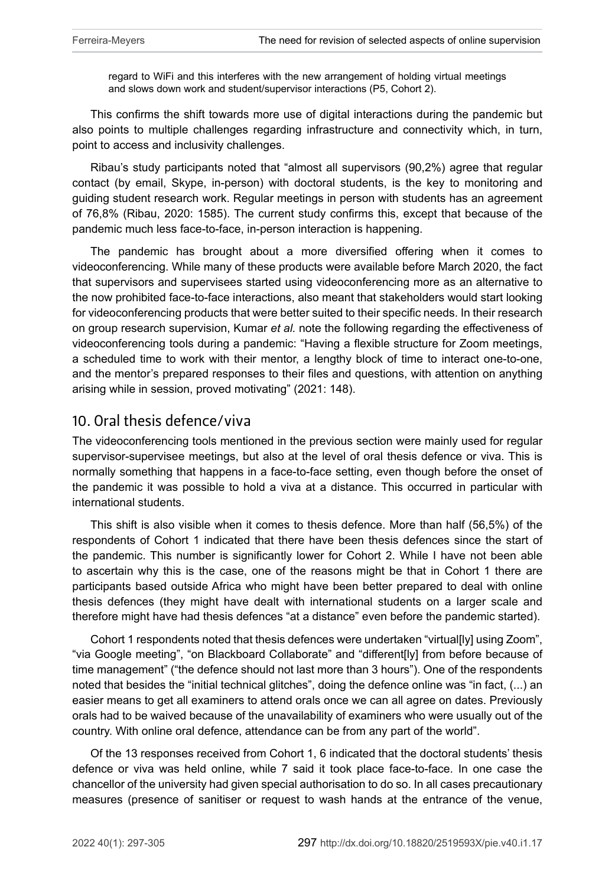regard to WiFi and this interferes with the new arrangement of holding virtual meetings and slows down work and student/supervisor interactions (P5, Cohort 2).

This confirms the shift towards more use of digital interactions during the pandemic but also points to multiple challenges regarding infrastructure and connectivity which, in turn, point to access and inclusivity challenges.

Ribau's study participants noted that "almost all supervisors (90,2%) agree that regular contact (by email, Skype, in-person) with doctoral students, is the key to monitoring and guiding student research work. Regular meetings in person with students has an agreement of 76,8% (Ribau, 2020: 1585). The current study confirms this, except that because of the pandemic much less face-to-face, in-person interaction is happening.

The pandemic has brought about a more diversified offering when it comes to videoconferencing. While many of these products were available before March 2020, the fact that supervisors and supervisees started using videoconferencing more as an alternative to the now prohibited face-to-face interactions, also meant that stakeholders would start looking for videoconferencing products that were better suited to their specific needs. In their research on group research supervision, Kumar *et al.* note the following regarding the effectiveness of videoconferencing tools during a pandemic: "Having a flexible structure for Zoom meetings, a scheduled time to work with their mentor, a lengthy block of time to interact one-to-one, and the mentor's prepared responses to their files and questions, with attention on anything arising while in session, proved motivating" (2021: 148).

#### 10. Oral thesis defence/viva

The videoconferencing tools mentioned in the previous section were mainly used for regular supervisor-supervisee meetings, but also at the level of oral thesis defence or viva. This is normally something that happens in a face-to-face setting, even though before the onset of the pandemic it was possible to hold a viva at a distance. This occurred in particular with international students.

This shift is also visible when it comes to thesis defence. More than half (56,5%) of the respondents of Cohort 1 indicated that there have been thesis defences since the start of the pandemic. This number is significantly lower for Cohort 2. While I have not been able to ascertain why this is the case, one of the reasons might be that in Cohort 1 there are participants based outside Africa who might have been better prepared to deal with online thesis defences (they might have dealt with international students on a larger scale and therefore might have had thesis defences "at a distance" even before the pandemic started).

Cohort 1 respondents noted that thesis defences were undertaken "virtual[ly] using Zoom", "via Google meeting", "on Blackboard Collaborate" and "different[ly] from before because of time management" ("the defence should not last more than 3 hours"). One of the respondents noted that besides the "initial technical glitches", doing the defence online was "in fact, (...) an easier means to get all examiners to attend orals once we can all agree on dates. Previously orals had to be waived because of the unavailability of examiners who were usually out of the country. With online oral defence, attendance can be from any part of the world".

Of the 13 responses received from Cohort 1, 6 indicated that the doctoral students' thesis defence or viva was held online, while 7 said it took place face-to-face. In one case the chancellor of the university had given special authorisation to do so. In all cases precautionary measures (presence of sanitiser or request to wash hands at the entrance of the venue,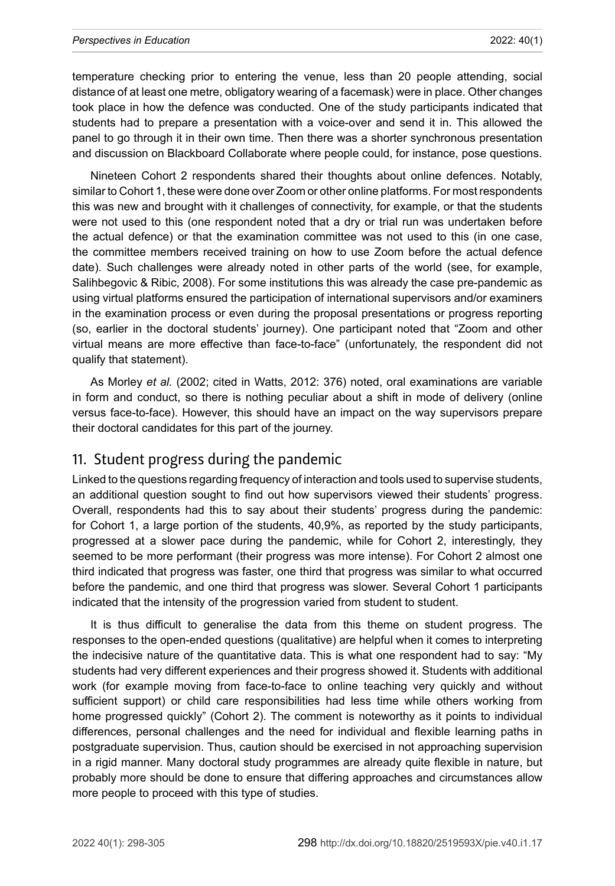#### *Perspectives in Education* 2022: 40(1)

temperature checking prior to entering the venue, less than 20 people attending, social distance of at least one metre, obligatory wearing of a facemask) were in place. Other changes took place in how the defence was conducted. One of the study participants indicated that students had to prepare a presentation with a voice-over and send it in. This allowed the panel to go through it in their own time. Then there was a shorter synchronous presentation and discussion on Blackboard Collaborate where people could, for instance, pose questions.

Nineteen Cohort 2 respondents shared their thoughts about online defences. Notably, similar to Cohort 1, these were done over Zoom or other online platforms. For most respondents this was new and brought with it challenges of connectivity, for example, or that the students were not used to this (one respondent noted that a dry or trial run was undertaken before the actual defence) or that the examination committee was not used to this (in one case, the committee members received training on how to use Zoom before the actual defence date). Such challenges were already noted in other parts of the world (see, for example, Salihbegovic & Ribic, 2008). For some institutions this was already the case pre-pandemic as using virtual platforms ensured the participation of international supervisors and/or examiners in the examination process or even during the proposal presentations or progress reporting (so, earlier in the doctoral students' journey). One participant noted that "Zoom and other virtual means are more effective than face-to-face" (unfortunately, the respondent did not qualify that statement).

As Morley *et al.* (2002; cited in Watts, 2012: 376) noted, oral examinations are variable in form and conduct, so there is nothing peculiar about a shift in mode of delivery (online versus face-to-face). However, this should have an impact on the way supervisors prepare their doctoral candidates for this part of the journey.

#### 11. Student progress during the pandemic

Linked to the questions regarding frequency of interaction and tools used to supervise students, an additional question sought to find out how supervisors viewed their students' progress. Overall, respondents had this to say about their students' progress during the pandemic: for Cohort 1, a large portion of the students, 40,9%, as reported by the study participants, progressed at a slower pace during the pandemic, while for Cohort 2, interestingly, they seemed to be more performant (their progress was more intense). For Cohort 2 almost one third indicated that progress was faster, one third that progress was similar to what occurred before the pandemic, and one third that progress was slower. Several Cohort 1 participants indicated that the intensity of the progression varied from student to student.

It is thus difficult to generalise the data from this theme on student progress. The responses to the open-ended questions (qualitative) are helpful when it comes to interpreting the indecisive nature of the quantitative data. This is what one respondent had to say: "My students had very different experiences and their progress showed it. Students with additional work (for example moving from face-to-face to online teaching very quickly and without sufficient support) or child care responsibilities had less time while others working from home progressed quickly" (Cohort 2). The comment is noteworthy as it points to individual differences, personal challenges and the need for individual and flexible learning paths in postgraduate supervision. Thus, caution should be exercised in not approaching supervision in a rigid manner. Many doctoral study programmes are already quite flexible in nature, but probably more should be done to ensure that differing approaches and circumstances allow more people to proceed with this type of studies.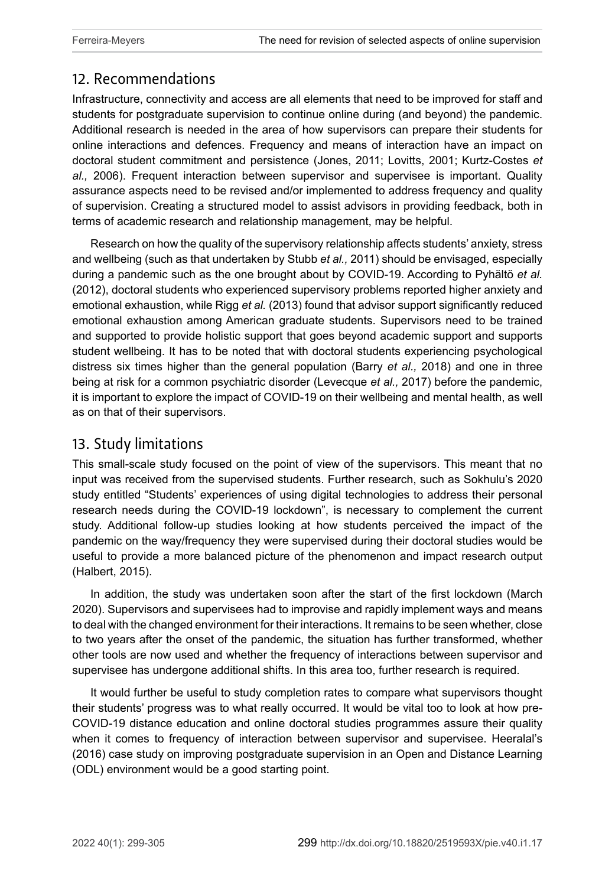## 12. Recommendations

Infrastructure, connectivity and access are all elements that need to be improved for staff and students for postgraduate supervision to continue online during (and beyond) the pandemic. Additional research is needed in the area of how supervisors can prepare their students for online interactions and defences. Frequency and means of interaction have an impact on doctoral student commitment and persistence (Jones, 2011; Lovitts, 2001; Kurtz-Costes *et al.,* 2006). Frequent interaction between supervisor and supervisee is important. Quality assurance aspects need to be revised and/or implemented to address frequency and quality of supervision. Creating a structured model to assist advisors in providing feedback, both in terms of academic research and relationship management, may be helpful.

Research on how the quality of the supervisory relationship affects students' anxiety, stress and wellbeing (such as that undertaken by Stubb *et al.,* 2011) should be envisaged, especially during a pandemic such as the one brought about by COVID-19. According to Pyhältö *et al.* (2012), doctoral students who experienced supervisory problems reported higher anxiety and emotional exhaustion, while Rigg *et al.* (2013) found that advisor support significantly reduced emotional exhaustion among American graduate students. Supervisors need to be trained and supported to provide holistic support that goes beyond academic support and supports student wellbeing. It has to be noted that with doctoral students experiencing psychological distress six times higher than the general population (Barry *et al.,* 2018) and one in three being at risk for a common psychiatric disorder (Levecque *et al.,* 2017) before the pandemic, it is important to explore the impact of COVID-19 on their wellbeing and mental health, as well as on that of their supervisors.

#### 13. Study limitations

This small-scale study focused on the point of view of the supervisors. This meant that no input was received from the supervised students. Further research, such as Sokhulu's 2020 study entitled "Students' experiences of using digital technologies to address their personal research needs during the COVID-19 lockdown", is necessary to complement the current study. Additional follow-up studies looking at how students perceived the impact of the pandemic on the way/frequency they were supervised during their doctoral studies would be useful to provide a more balanced picture of the phenomenon and impact research output (Halbert, 2015).

In addition, the study was undertaken soon after the start of the first lockdown (March 2020). Supervisors and supervisees had to improvise and rapidly implement ways and means to deal with the changed environment for their interactions. It remains to be seen whether, close to two years after the onset of the pandemic, the situation has further transformed, whether other tools are now used and whether the frequency of interactions between supervisor and supervisee has undergone additional shifts. In this area too, further research is required.

It would further be useful to study completion rates to compare what supervisors thought their students' progress was to what really occurred. It would be vital too to look at how pre-COVID-19 distance education and online doctoral studies programmes assure their quality when it comes to frequency of interaction between supervisor and supervisee. Heeralal's (2016) case study on improving postgraduate supervision in an Open and Distance Learning (ODL) environment would be a good starting point.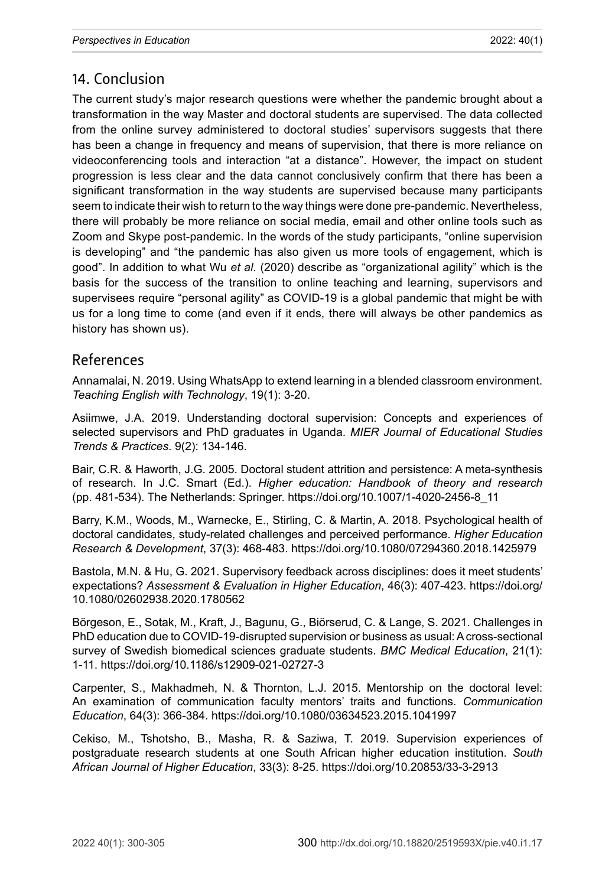### 14. Conclusion

The current study's major research questions were whether the pandemic brought about a transformation in the way Master and doctoral students are supervised. The data collected from the online survey administered to doctoral studies' supervisors suggests that there has been a change in frequency and means of supervision, that there is more reliance on videoconferencing tools and interaction "at a distance". However, the impact on student progression is less clear and the data cannot conclusively confirm that there has been a significant transformation in the way students are supervised because many participants seem to indicate their wish to return to the way things were done pre-pandemic. Nevertheless, there will probably be more reliance on social media, email and other online tools such as Zoom and Skype post-pandemic. In the words of the study participants, "online supervision is developing" and "the pandemic has also given us more tools of engagement, which is good". In addition to what Wu *et al.* (2020) describe as "organizational agility" which is the basis for the success of the transition to online teaching and learning, supervisors and supervisees require "personal agility" as COVID-19 is a global pandemic that might be with us for a long time to come (and even if it ends, there will always be other pandemics as history has shown us).

#### References

Annamalai, N. 2019. Using WhatsApp to extend learning in a blended classroom environment. *Teaching English with Technology*, 19(1): 3-20.

Asiimwe, J.A. 2019. Understanding doctoral supervision: Concepts and experiences of selected supervisors and PhD graduates in Uganda. *MIER Journal of Educational Studies Trends & Practices*. 9(2): 134-146.

Bair, C.R. & Haworth, J.G. 2005. Doctoral student attrition and persistence: A meta-synthesis of research. In J.C. Smart (Ed.). *Higher education: Handbook of theory and research* (pp. 481-534). The Netherlands: Springer. [https://doi.org/10.1007/1-4020-2456-8\\_11](https://doi.org/10.1007/1-4020-2456-8_11)

Barry, K.M., Woods, M., Warnecke, E., Stirling, C. & Martin, A. 2018. Psychological health of doctoral candidates, study-related challenges and perceived performance. *Higher Education Research & Development*, 37(3): 468-483.<https://doi.org/10.1080/07294360.2018.1425979>

Bastola, M.N. & Hu, G. 2021. Supervisory feedback across disciplines: does it meet students' expectations? *Assessment & Evaluation in Higher Education*, 46(3): 407-423. [https://doi.org/](https://doi.org/10.1080/02602938.2020.1780562) [10.1080/02602938.2020.1780562](https://doi.org/10.1080/02602938.2020.1780562)

Börgeson, E., Sotak, M., Kraft, J., Bagunu, G., Biörserud, C. & Lange, S. 2021. Challenges in PhD education due to COVID-19-disrupted supervision or business as usual: A cross-sectional survey of Swedish biomedical sciences graduate students. *BMC Medical Education*, 21(1): 1-11.<https://doi.org/10.1186/s12909-021-02727-3>

Carpenter, S., Makhadmeh, N. & Thornton, L.J. 2015. Mentorship on the doctoral level: An examination of communication faculty mentors' traits and functions. *Communication Education*, 64(3): 366-384. <https://doi.org/10.1080/03634523.2015.1041997>

Cekiso, M., Tshotsho, B., Masha, R. & Saziwa, T. 2019. Supervision experiences of postgraduate research students at one South African higher education institution. *South African Journal of Higher Education*, 33(3): 8-25.<https://doi.org/10.20853/33-3-2913>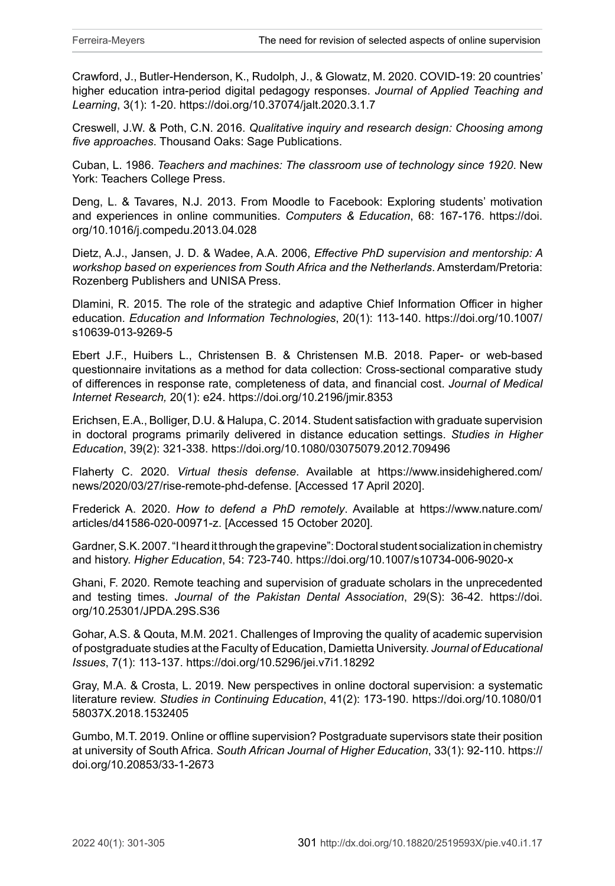Crawford, J., Butler-Henderson, K., Rudolph, J., & Glowatz, M. 2020. COVID-19: 20 countries' higher education intra-period digital pedagogy responses. *Journal of Applied Teaching and Learning*, 3(1): 1-20. <https://doi.org/10.37074/jalt.2020.3.1.7>

Creswell, J.W. & Poth, C.N. 2016. *Qualitative inquiry and research design: Choosing among five approaches*. Thousand Oaks: Sage Publications.

Cuban, L. 1986. *Teachers and machines: The classroom use of technology since 1920*. New York: Teachers College Press.

Deng, L. & Tavares, N.J. 2013. From Moodle to Facebook: Exploring students' motivation and experiences in online communities. *Computers & Education*, 68: 167-176. [https://doi.](https://doi.org/10.1016/j.compedu.2013.04.028) [org/10.1016/j.compedu.2013.04.028](https://doi.org/10.1016/j.compedu.2013.04.028)

Dietz, A.J., Jansen, J. D. & Wadee, A.A. 2006, *Effective PhD supervision and mentorship: A workshop based on experiences from South Africa and the Netherlands*. Amsterdam/Pretoria: Rozenberg Publishers and UNISA Press.

Dlamini, R. 2015. The role of the strategic and adaptive Chief Information Officer in higher education. *Education and Information Technologies*, 20(1): 113-140. [https://doi.org/10.1007/](https://doi.org/10.1007/s10639-013-9269-5) [s10639-013-9269-5](https://doi.org/10.1007/s10639-013-9269-5)

Ebert J.F., Huibers L., Christensen B. & Christensen M.B. 2018. Paper- or web-based questionnaire invitations as a method for data collection: Cross-sectional comparative study of differences in response rate, completeness of data, and financial cost. *Journal of Medical Internet Research,* 20(1): e24.<https://doi.org/10.2196/jmir.8353>

Erichsen, E.A., Bolliger, D.U. & Halupa, C. 2014. Student satisfaction with graduate supervision in doctoral programs primarily delivered in distance education settings. *Studies in Higher Education*, 39(2): 321-338. <https://doi.org/10.1080/03075079.2012.709496>

Flaherty C. 2020. *Virtual thesis defense*. Available at [https://www.insidehighered.com/](https://www.insidehighered.com/news/2020/03/27/rise-remote-phd-defense) [news/2020/03/27/rise-remote-phd-defense](https://www.insidehighered.com/news/2020/03/27/rise-remote-phd-defense). [Accessed 17 April 2020].

Frederick A. 2020. *How to defend a PhD remotely*. Available at [https://www.nature.com/](https://www.nature.com/articles/d41586-020-00971-z) [articles/d41586-020-00971-z](https://www.nature.com/articles/d41586-020-00971-z). [Accessed 15 October 2020].

Gardner, S.K. 2007. "I heard it through the grapevine": Doctoral student socialization in chemistry and history. *Higher Education*, 54: 723-740.<https://doi.org/10.1007/s10734-006-9020-x>

Ghani, F. 2020. Remote teaching and supervision of graduate scholars in the unprecedented and testing times. *Journal of the Pakistan Dental Association*, 29(S): 36-42. [https://doi.](https://doi.org/10.25301/JPDA.29S.S36) [org/10.25301/JPDA.29S.S36](https://doi.org/10.25301/JPDA.29S.S36)

Gohar, A.S. & Qouta, M.M. 2021. Challenges of Improving the quality of academic supervision of postgraduate studies at the Faculty of Education, Damietta University. *Journal of Educational Issues*, 7(1): 113-137.<https://doi.org/10.5296/jei.v7i1.18292>

Gray, M.A. & Crosta, L. 2019. New perspectives in online doctoral supervision: a systematic literature review. *Studies in Continuing Education*, 41(2): 173-190. [https://doi.org/10.1080/01](https://doi.org/10.1080/0158037X.2018.1532405) [58037X.2018.1532405](https://doi.org/10.1080/0158037X.2018.1532405)

Gumbo, M.T. 2019. Online or offline supervision? Postgraduate supervisors state their position at university of South Africa. *South African Journal of Higher Education*, 33(1): 92-110. [https://](https://doi.org/10.20853/33-1-2673) [doi.org/10.20853/33-1-2673](https://doi.org/10.20853/33-1-2673)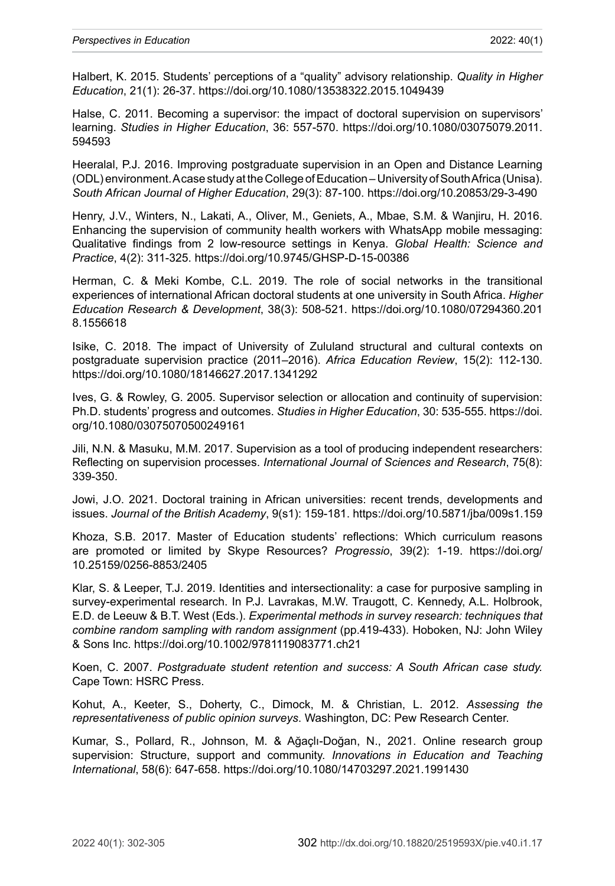Halbert, K. 2015. Students' perceptions of a "quality" advisory relationship. *Quality in Higher Education*, 21(1): 26-37. <https://doi.org/10.1080/13538322.2015.1049439>

Halse, C. 2011. Becoming a supervisor: the impact of doctoral supervision on supervisors' learning. *Studies in Higher Education*, 36: 557-570. [https://doi.org/10.1080/03075079.2011.](https://doi.org/10.1080/03075079.2011.594593) [594593](https://doi.org/10.1080/03075079.2011.594593)

Heeralal, P.J. 2016. Improving postgraduate supervision in an Open and Distance Learning (ODL) environment. A case study at the College of Education – University of South Africa (Unisa). *South African Journal of Higher Education*, 29(3): 87-100. <https://doi.org/10.20853/29-3-490>

Henry, J.V., Winters, N., Lakati, A., Oliver, M., Geniets, A., Mbae, S.M. & Wanjiru, H. 2016. Enhancing the supervision of community health workers with WhatsApp mobile messaging: Qualitative findings from 2 low-resource settings in Kenya. *Global Health: Science and Practice*, 4(2): 311-325. <https://doi.org/10.9745/GHSP-D-15-00386>

Herman, C. & Meki Kombe, C.L. 2019. The role of social networks in the transitional experiences of international African doctoral students at one university in South Africa. *Higher Education Research & Development*, 38(3): 508-521. [https://doi.org/10.1080/07294360.201](https://doi.org/10.1080/07294360.2018.1556618) [8.1556618](https://doi.org/10.1080/07294360.2018.1556618)

Isike, C. 2018. The impact of University of Zululand structural and cultural contexts on postgraduate supervision practice (2011–2016). *Africa Education Review*, 15(2): 112-130. <https://doi.org/10.1080/18146627.2017.1341292>

Ives, G. & Rowley, G. 2005. Supervisor selection or allocation and continuity of supervision: Ph.D. students' progress and outcomes. *Studies in Higher Education*, 30: 535-555. [https://doi.](https://doi.org/10.1080/03075070500249161) [org/10.1080/03075070500249161](https://doi.org/10.1080/03075070500249161)

Jili, N.N. & Masuku, M.M. 2017. Supervision as a tool of producing independent researchers: Reflecting on supervision processes. *International Journal of Sciences and Research*, 75(8): 339-350.

Jowi, J.O. 2021. Doctoral training in African universities: recent trends, developments and issues. *Journal of the British Academy*, 9(s1): 159-181. <https://doi.org/10.5871/jba/009s1.159>

Khoza, S.B. 2017. Master of Education students' reflections: Which curriculum reasons are promoted or limited by Skype Resources? *Progressio*, 39(2): 1-19. [https://doi.org/](https://doi.org/10.25159/0256-8853/2405) [10.25159/0256-8853/2405](https://doi.org/10.25159/0256-8853/2405)

Klar, S. & Leeper, T.J. 2019. Identities and intersectionality: a case for purposive sampling in survey-experimental research. In P.J. Lavrakas, M.W. Traugott, C. Kennedy, A.L. Holbrook, E.D. de Leeuw & B.T. West (Eds.). *Experimental methods in survey research: techniques that combine random sampling with random assignment* (pp.419-433). Hoboken, NJ: John Wiley & Sons Inc.<https://doi.org/10.1002/9781119083771.ch21>

Koen, C. 2007. *Postgraduate student retention and success: A South African case study.* Cape Town: HSRC Press.

Kohut, A., Keeter, S., Doherty, C., Dimock, M. & Christian, L. 2012. *Assessing the representativeness of public opinion surveys*. Washington, DC: Pew Research Center.

Kumar, S., Pollard, R., Johnson, M. & Ağaçlı-Doğan, N., 2021. Online research group supervision: Structure, support and community. *Innovations in Education and Teaching International*, 58(6): 647-658.<https://doi.org/10.1080/14703297.2021.1991430>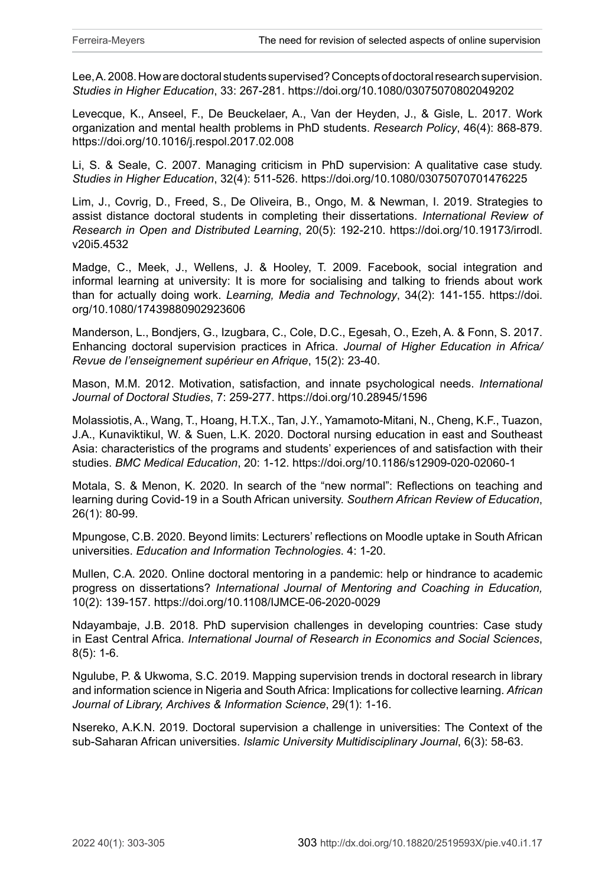Lee, A. 2008. How are doctoral students supervised? Concepts of doctoral research supervision. *Studies in Higher Education*, 33: 267-281. <https://doi.org/10.1080/03075070802049202>

Levecque, K., Anseel, F., De Beuckelaer, A., Van der Heyden, J., & Gisle, L. 2017. Work organization and mental health problems in PhD students. *Research Policy*, 46(4): 868-879. <https://doi.org/10.1016/j.respol.2017.02.008>

Li, S. & Seale, C. 2007. Managing criticism in PhD supervision: A qualitative case study. *Studies in Higher Education*, 32(4): 511-526.<https://doi.org/10.1080/03075070701476225>

Lim, J., Covrig, D., Freed, S., De Oliveira, B., Ongo, M. & Newman, I. 2019. Strategies to assist distance doctoral students in completing their dissertations. *International Review of Research in Open and Distributed Learning*, 20(5): 192-210. [https://doi.org/10.19173/irrodl.](https://doi.org/10.19173/irrodl.v20i5.4532) [v20i5.4532](https://doi.org/10.19173/irrodl.v20i5.4532)

Madge, C., Meek, J., Wellens, J. & Hooley, T. 2009. Facebook, social integration and informal learning at university: It is more for socialising and talking to friends about work than for actually doing work. *Learning, Media and Technology*, 34(2): 141-155. [https://doi.](https://doi.org/10.1080/17439880902923606) [org/10.1080/17439880902923606](https://doi.org/10.1080/17439880902923606)

Manderson, L., Bondjers, G., Izugbara, C., Cole, D.C., Egesah, O., Ezeh, A. & Fonn, S. 2017. Enhancing doctoral supervision practices in Africa. *Journal of Higher Education in Africa/ Revue de l'enseignement supérieur en Afrique*, 15(2): 23-40.

Mason, M.M. 2012. Motivation, satisfaction, and innate psychological needs. *International Journal of Doctoral Studies*, 7: 259-277. <https://doi.org/10.28945/1596>

Molassiotis, A., Wang, T., Hoang, H.T.X., Tan, J.Y., Yamamoto-Mitani, N., Cheng, K.F., Tuazon, J.A., Kunaviktikul, W. & Suen, L.K. 2020. Doctoral nursing education in east and Southeast Asia: characteristics of the programs and students' experiences of and satisfaction with their studies. *BMC Medical Education*, 20: 1-12.<https://doi.org/10.1186/s12909-020-02060-1>

Motala, S. & Menon, K. 2020. In search of the "new normal": Reflections on teaching and learning during Covid-19 in a South African university. *Southern African Review of Education*, 26(1): 80-99.

Mpungose, C.B. 2020. Beyond limits: Lecturers' reflections on Moodle uptake in South African universities. *Education and Information Technologies*. 4: 1-20.

Mullen, C.A. 2020. Online doctoral mentoring in a pandemic: help or hindrance to academic progress on dissertations? *International Journal of Mentoring and Coaching in Education,*  10(2): 139-157. <https://doi.org/10.1108/IJMCE-06-2020-0029>

Ndayambaje, J.B. 2018. PhD supervision challenges in developing countries: Case study in East Central Africa. *International Journal of Research in Economics and Social Sciences*, 8(5): 1-6.

Ngulube, P. & Ukwoma, S.C. 2019. Mapping supervision trends in doctoral research in library and information science in Nigeria and South Africa: Implications for collective learning. *African Journal of Library, Archives & Information Science*, 29(1): 1-16.

Nsereko, A.K.N. 2019. Doctoral supervision a challenge in universities: The Context of the sub-Saharan African universities. *Islamic University Multidisciplinary Journal*, 6(3): 58-63.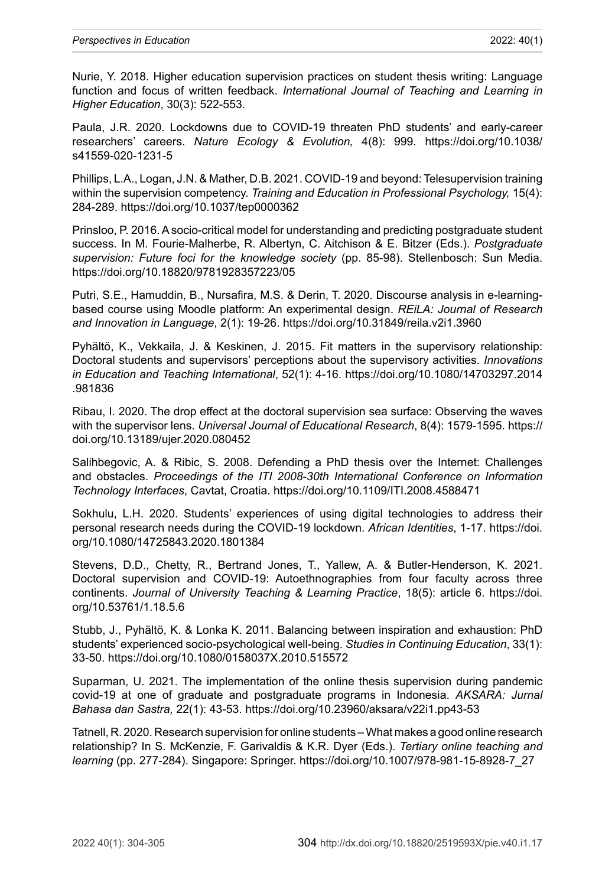Nurie, Y. 2018. Higher education supervision practices on student thesis writing: Language function and focus of written feedback. *International Journal of Teaching and Learning in Higher Education*, 30(3): 522-553.

Paula, J.R. 2020. Lockdowns due to COVID-19 threaten PhD students' and early-career researchers' careers. *Nature Ecology & Evolution,* 4(8): 999. [https://doi.org/10.1038/](https://doi.org/10.1038/s41559-020-1231-5) [s41559-020-1231-5](https://doi.org/10.1038/s41559-020-1231-5)

Phillips, L.A., Logan, J.N. & Mather, D.B. 2021. COVID-19 and beyond: Telesupervision training within the supervision competency. *Training and Education in Professional Psychology,* 15(4): 284-289. <https://doi.org/10.1037/tep0000362>

Prinsloo, P. 2016. A socio-critical model for understanding and predicting postgraduate student success. In M. Fourie-Malherbe, R. Albertyn, C. Aitchison & E. Bitzer (Eds.). *Postgraduate supervision: Future foci for the knowledge society* (pp. 85-98). Stellenbosch: Sun Media. <https://doi.org/10.18820/9781928357223/05>

Putri, S.E., Hamuddin, B., Nursafira, M.S. & Derin, T. 2020. Discourse analysis in e-learningbased course using Moodle platform: An experimental design. *REiLA: Journal of Research and Innovation in Language*, 2(1): 19-26[. https://doi.org/10.31849/reila.v2i1.3960](https://doi.org/10.31849/reila.v2i1.3960)

Pyhältö, K., Vekkaila, J. & Keskinen, J. 2015. Fit matters in the supervisory relationship: Doctoral students and supervisors' perceptions about the supervisory activities. *Innovations in Education and Teaching International*, 52(1): 4-16. [https://doi.org/10.1080/14703297.2014](https://doi.org/10.1080/14703297.2014.981836) [.981836](https://doi.org/10.1080/14703297.2014.981836)

Ribau, I. 2020. The drop effect at the doctoral supervision sea surface: Observing the waves with the supervisor lens. *Universal Journal of Educational Research*, 8(4): 1579-1595. [https://](https://doi.org/10.13189/ujer.2020.080452) [doi.org/10.13189/ujer.2020.080452](https://doi.org/10.13189/ujer.2020.080452)

Salihbegovic, A. & Ribic, S. 2008. Defending a PhD thesis over the Internet: Challenges and obstacles. *Proceedings of the ITI 2008-30th International Conference on Information Technology Interfaces*, Cavtat, Croatia.<https://doi.org/10.1109/ITI.2008.4588471>

Sokhulu, L.H. 2020. Students' experiences of using digital technologies to address their personal research needs during the COVID-19 lockdown. *African Identities*, 1-17. [https://doi.](https://doi.org/10.1080/14725843.2020.1801384) [org/10.1080/14725843.2020.1801384](https://doi.org/10.1080/14725843.2020.1801384)

Stevens, D.D., Chetty, R., Bertrand Jones, T., Yallew, A. & Butler-Henderson, K. 2021. Doctoral supervision and COVID-19: Autoethnographies from four faculty across three continents. *Journal of University Teaching & Learning Practice*, 18(5): article 6. [https://doi.](https://doi.org/10.53761/1.18.5.6) [org/10.53761/1.18.5.6](https://doi.org/10.53761/1.18.5.6)

Stubb, J., Pyhältö, K. & Lonka K. 2011. Balancing between inspiration and exhaustion: PhD students' experienced socio-psychological well-being. *Studies in Continuing Education*, 33(1): 33-50. <https://doi.org/10.1080/0158037X.2010.515572>

Suparman, U. 2021. The implementation of the online thesis supervision during pandemic covid-19 at one of graduate and postgraduate programs in Indonesia. *AKSARA: Jurnal Bahasa dan Sastra,* 22(1): 43-53.<https://doi.org/10.23960/aksara/v22i1.pp43-53>

Tatnell, R. 2020. Research supervision for online students – What makes a good online research relationship? In S. McKenzie, F. Garivaldis & K.R. Dyer (Eds.). *Tertiary online teaching and learning* (pp. 277-284). Singapore: Springer. [https://doi.org/10.1007/978-981-15-8928-7\\_27](https://doi.org/10.1007/978-981-15-8928-7_27)